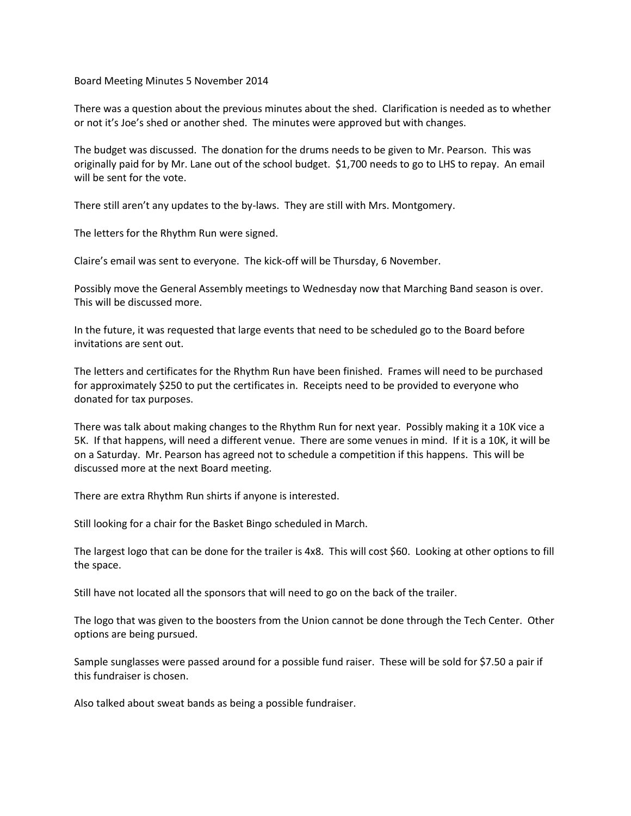Board Meeting Minutes 5 November 2014

There was a question about the previous minutes about the shed. Clarification is needed as to whether or not it's Joe's shed or another shed. The minutes were approved but with changes.

The budget was discussed. The donation for the drums needs to be given to Mr. Pearson. This was originally paid for by Mr. Lane out of the school budget. \$1,700 needs to go to LHS to repay. An email will be sent for the vote.

There still aren't any updates to the by-laws. They are still with Mrs. Montgomery.

The letters for the Rhythm Run were signed.

Claire's email was sent to everyone. The kick-off will be Thursday, 6 November.

Possibly move the General Assembly meetings to Wednesday now that Marching Band season is over. This will be discussed more.

In the future, it was requested that large events that need to be scheduled go to the Board before invitations are sent out.

The letters and certificates for the Rhythm Run have been finished. Frames will need to be purchased for approximately \$250 to put the certificates in. Receipts need to be provided to everyone who donated for tax purposes.

There was talk about making changes to the Rhythm Run for next year. Possibly making it a 10K vice a 5K. If that happens, will need a different venue. There are some venues in mind. If it is a 10K, it will be on a Saturday. Mr. Pearson has agreed not to schedule a competition if this happens. This will be discussed more at the next Board meeting.

There are extra Rhythm Run shirts if anyone is interested.

Still looking for a chair for the Basket Bingo scheduled in March.

The largest logo that can be done for the trailer is 4x8. This will cost \$60. Looking at other options to fill the space.

Still have not located all the sponsors that will need to go on the back of the trailer.

The logo that was given to the boosters from the Union cannot be done through the Tech Center. Other options are being pursued.

Sample sunglasses were passed around for a possible fund raiser. These will be sold for \$7.50 a pair if this fundraiser is chosen.

Also talked about sweat bands as being a possible fundraiser.